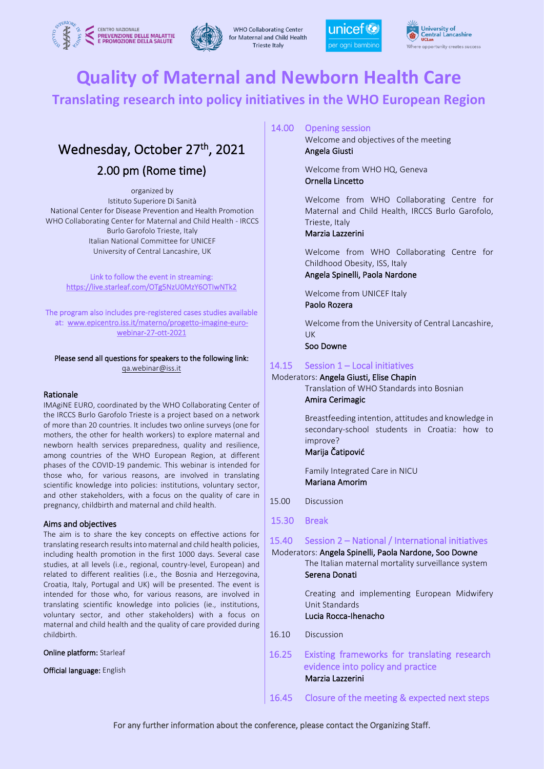



**WHO Collaborating Center** for Maternal and Child Health **Trieste Italy** 





# **Quality of Maternal and Newborn Health Care**

# **Translating research into policy initiatives in the WHO European Region**

# Wednesday, October 27<sup>th</sup>, 2021

# 2.00 pm (Rome time)

organized by Istituto Superiore Di Sanità National Center for Disease Prevention and Health Promotion WHO Collaborating Center for Maternal and Child Health - IRCCS Burlo Garofolo Trieste, Italy Italian National Committee for UNICEF University of Central Lancashire, UK

Link to follow the event in streaming: https://live.starleaf.com/OTg5NzU0MzY6OTIwNTk2

The program also includes pre-registered cases studies available at: www.epicentro.iss.it/materno/progetto-imagine-eurowebinar-27-ott-2021

### Please send all questions for speakers to the following link: qa.webinar@iss.it

# Rationale

IMAgiNE EURO, coordinated by the WHO Collaborating Center of the IRCCS Burlo Garofolo Trieste is a project based on a network of more than 20 countries. It includes two online surveys (one for mothers, the other for health workers) to explore maternal and newborn health services preparedness, quality and resilience, among countries of the WHO European Region, at different phases of the COVID-19 pandemic. This webinar is intended for those who, for various reasons, are involved in translating scientific knowledge into policies: institutions, voluntary sector, and other stakeholders, with a focus on the quality of care in pregnancy, childbirth and maternal and child health.

# Aims and objectives

The aim is to share the key concepts on effective actions for translating research results into maternal and child health policies, including health promotion in the first 1000 days. Several case studies, at all levels (i.e., regional, country-level, European) and related to different realities (i.e., the Bosnia and Herzegovina, Croatia, Italy, Portugal and UK) will be presented. The event is intended for those who, for various reasons, are involved in translating scientific knowledge into policies (ie., institutions, voluntary sector, and other stakeholders) with a focus on maternal and child health and the quality of care provided during childbirth.

Online platform: Starleaf

Official language: English

# 14.00 Opening session

 Welcome and objectives of the meeting Angela Giusti

 Welcome from WHO HQ, Geneva Ornella Lincetto

 Welcome from WHO Collaborating Centre for Maternal and Child Health, IRCCS Burlo Garofolo, Trieste, Italy

# Marzia Lazzerini

 Welcome from WHO Collaborating Centre for Childhood Obesity, ISS, Italy

# Angela Spinelli, Paola Nardone

 Welcome from UNICEF Italy Paolo Rozera

 Welcome from the University of Central Lancashire, UK

Soo Downe

# 14.15 Session 1 – Local initiatives

# Moderators: Angela Giusti, Elise Chapin

 Translation of WHO Standards into Bosnian Amira Cerimagic

 Breastfeeding intention, attitudes and knowledge in secondary-school students in Croatia: how to improve?

# Marija Čatipović

 Family Integrated Care in NICU Mariana Amorim

- 15.00 Discussion
- 15.30 Break

# 15.40 Session 2 – National / International initiatives

# Moderators: Angela Spinelli, Paola Nardone, Soo Downe

 The Italian maternal mortality surveillance system Serena Donati

 Creating and implementing European Midwifery Unit Standards

# Lucia Rocca-Ihenacho

- 16.10 Discussion
- 16.25 Existing frameworks for translating research evidence into policy and practice Marzia Lazzerini
- 16.45 Closure of the meeting & expected next steps

For any further information about the conference, please contact the Organizing Staff.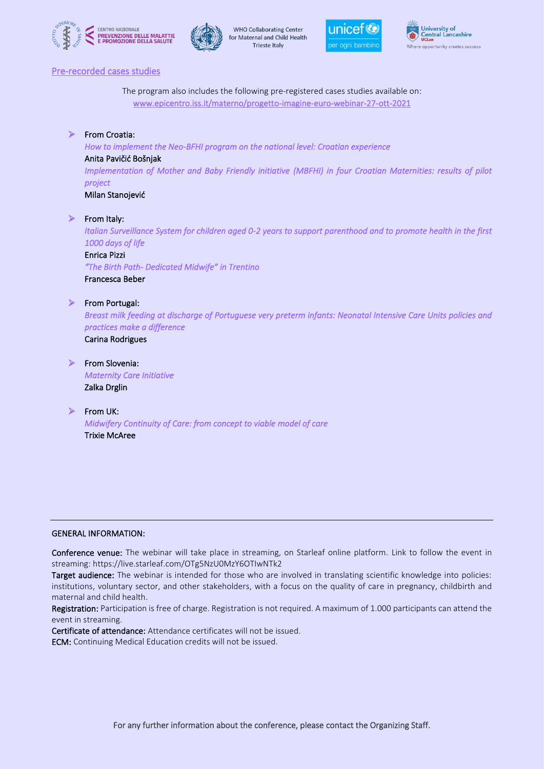







# Pre-recorded cases studies

The program also includes the following pre-registered cases studies available on: www.epicentro.iss.it/materno/progetto-imagine-euro-webinar-27-ott-2021

# ➢ From Croatia:

*How to implement the Neo-BFHI program on the national level: Croatian experience* 

# Anita Pavičić Bošnjak

*Implementation of Mother and Baby Friendly initiative (MBFHI) in four Croatian Maternities: results of pilot project* 

Milan Stanojević

# ➢ From Italy:

*Italian Surveillance System for children aged 0-2 years to support parenthood and to promote health in the first 1000 days of life* 

# Enrica Pizzi

*"The Birth Path- Dedicated Midwife" in Trentino*  Francesca Beber

# ➢ From Portugal:

*Breast milk feeding at discharge of Portuguese very preterm infants: Neonatal Intensive Care Units policies and practices make a difference*  Carina Rodrigues

➢ From Slovenia:

*Maternity Care Initiative*  Zalka Drglin

# ➢ From UK:

*Midwifery Continuity of Care: from concept to viable model of care*  Trixie McAree

# GENERAL INFORMATION:

Conference venue: The webinar will take place in streaming, on Starleaf online platform. Link to follow the event in streaming: https://live.starleaf.com/OTg5NzU0MzY6OTIwNTk2

Target audience: The webinar is intended for those who are involved in translating scientific knowledge into policies: institutions, voluntary sector, and other stakeholders, with a focus on the quality of care in pregnancy, childbirth and maternal and child health.

Registration: Participation is free of charge. Registration is not required. A maximum of 1.000 participants can attend the event in streaming.

Certificate of attendance: Attendance certificates will not be issued.

ECM: Continuing Medical Education credits will not be issued.